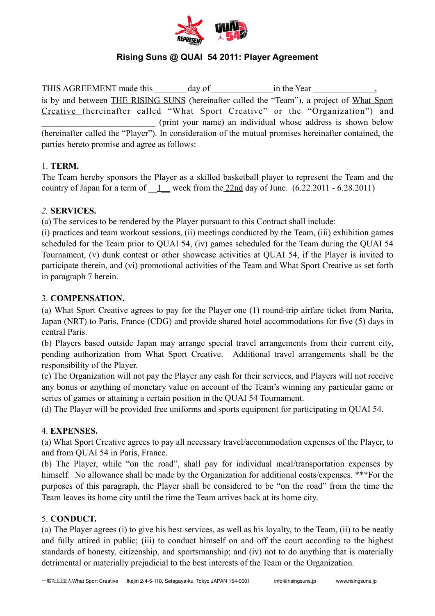

# **Rising Suns @ QUAI 54 2011: Player Agreement**

THIS AGREEMENT made this \_\_\_\_\_\_\_ day of \_\_\_\_\_\_\_\_\_\_\_\_\_\_in the Year \_\_\_\_\_\_\_\_\_\_\_\_\_\_, is by and between THE RISING SUNS (hereinafter called the "Team"), a project of What Sport Creative (hereinafter called "What Sport Creative" or the "Organization") and \_\_\_\_\_\_\_\_\_\_\_\_\_\_\_\_\_\_\_\_\_\_\_\_\_\_ (print your name) an individual whose address is shown below (hereinafter called the "Player"). In consideration of the mutual promises hereinafter contained, the parties hereto promise and agree as follows:

### 1. **TERM.**

The Team hereby sponsors the Player as a skilled basketball player to represent the Team and the country of Japan for a term of  $1$  week from the 22nd day of June. (6.22.2011 - 6.28.2011)

#### *2.* **SERVICES.**

(a) The services to be rendered by the Player pursuant to this Contract shall include:

(i) practices and team workout sessions, (ii) meetings conducted by the Team, (iii) exhibition games scheduled for the Team prior to QUAI 54, (iv) games scheduled for the Team during the QUAI 54 Tournament, (v) dunk contest or other showcase activities at QUAI 54, if the Player is invited to participate therein, and (vi) promotional activities of the Team and What Sport Creative as set forth in paragraph 7 herein.

#### 3. **COMPENSATION.**

(a) What Sport Creative agrees to pay for the Player one (1) round-trip airfare ticket from Narita, Japan (NRT) to Paris, France (CDG) and provide shared hotel accommodations for five (5) days in central Paris.

(b) Players based outside Japan may arrange special travel arrangements from their current city, pending authorization from What Sport Creative. Additional travel arrangements shall be the responsibility of the Player.

(c) The Organization will not pay the Player any cash for their services, and Players will not receive any bonus or anything of monetary value on account of the Team's winning any particular game or series of games or attaining a certain position in the QUAI 54 Tournament.

(d) The Player will be provided free uniforms and sports equipment for participating in QUAI 54.

# 4. **EXPENSES.**

(a) What Sport Creative agrees to pay all necessary travel/accommodation expenses of the Player, to and from QUAI 54 in Paris, France.

(b) The Player, while "on the road", shall pay for individual meal/transportation expenses by himself. No allowance shall be made by the Organization for additional costs/expenses. \*\*\*For the purposes of this paragraph, the Player shall be considered to be "on the road" from the time the Team leaves its home city until the time the Team arrives back at its home city.

#### 5. **CONDUCT.**

(a) The Player agrees (i) to give his best services, as well as his loyalty, to the Team, (ii) to be neatly and fully attired in public; (iii) to conduct himself on and off the court according to the highest standards of honesty, citizenship, and sportsmanship; and (iv) not to do anything that is materially detrimental or materially prejudicial to the best interests of the Team or the Organization.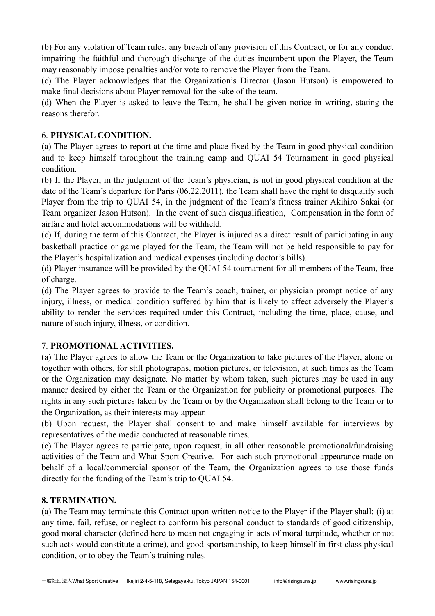(b) For any violation of Team rules, any breach of any provision of this Contract, or for any conduct impairing the faithful and thorough discharge of the duties incumbent upon the Player, the Team may reasonably impose penalties and/or vote to remove the Player from the Team.

(c) The Player acknowledges that the Organization's Director (Jason Hutson) is empowered to make final decisions about Player removal for the sake of the team.

(d) When the Player is asked to leave the Team, he shall be given notice in writing, stating the reasons therefor.

### 6. **PHYSICAL CONDITION.**

(a) The Player agrees to report at the time and place fixed by the Team in good physical condition and to keep himself throughout the training camp and QUAI 54 Tournament in good physical condition.

(b) If the Player, in the judgment of the Team's physician, is not in good physical condition at the date of the Team's departure for Paris (06.22.2011), the Team shall have the right to disqualify such Player from the trip to QUAI 54, in the judgment of the Team's fitness trainer Akihiro Sakai (or Team organizer Jason Hutson). In the event of such disqualification, Compensation in the form of airfare and hotel accommodations will be withheld.

(c) If, during the term of this Contract, the Player is injured as a direct result of participating in any basketball practice or game played for the Team, the Team will not be held responsible to pay for the Player's hospitalization and medical expenses (including doctor's bills).

(d) Player insurance will be provided by the QUAI 54 tournament for all members of the Team, free of charge.

(d) The Player agrees to provide to the Team's coach, trainer, or physician prompt notice of any injury, illness, or medical condition suffered by him that is likely to affect adversely the Player's ability to render the services required under this Contract, including the time, place, cause, and nature of such injury, illness, or condition.

# 7. **PROMOTIONAL ACTIVITIES.**

(a) The Player agrees to allow the Team or the Organization to take pictures of the Player, alone or together with others, for still photographs, motion pictures, or television, at such times as the Team or the Organization may designate. No matter by whom taken, such pictures may be used in any manner desired by either the Team or the Organization for publicity or promotional purposes. The rights in any such pictures taken by the Team or by the Organization shall belong to the Team or to the Organization, as their interests may appear.

(b) Upon request, the Player shall consent to and make himself available for interviews by representatives of the media conducted at reasonable times.

(c) The Player agrees to participate, upon request, in all other reasonable promotional/fundraising activities of the Team and What Sport Creative. For each such promotional appearance made on behalf of a local/commercial sponsor of the Team, the Organization agrees to use those funds directly for the funding of the Team's trip to QUAI 54.

# **8. TERMINATION.**

(a) The Team may terminate this Contract upon written notice to the Player if the Player shall: (i) at any time, fail, refuse, or neglect to conform his personal conduct to standards of good citizenship, good moral character (defined here to mean not engaging in acts of moral turpitude, whether or not such acts would constitute a crime), and good sportsmanship, to keep himself in first class physical condition, or to obey the Team's training rules.